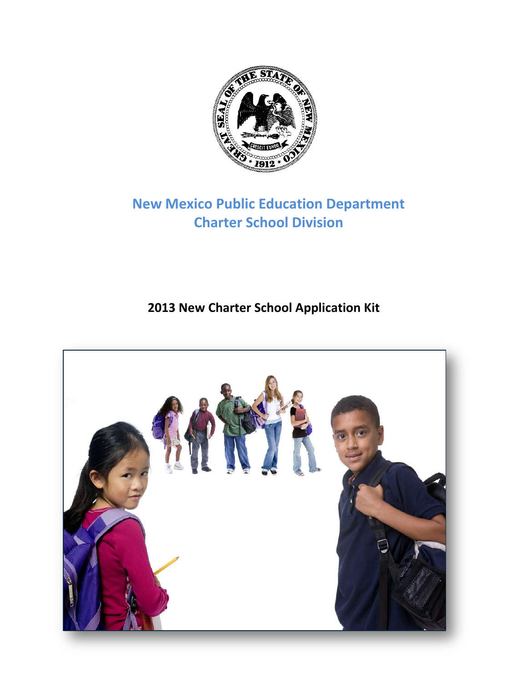

# **New Mexico Public Education Department Charter School Division**

## **2013 New Charter School Application Kit**

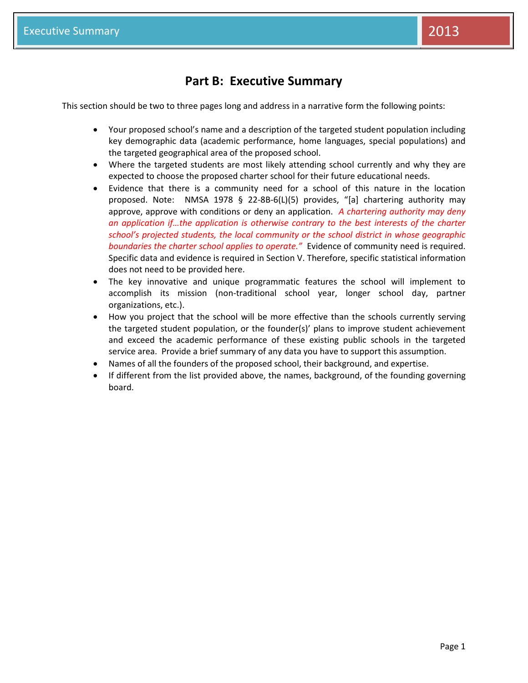### **Part B: Executive Summary**

This section should be two to three pages long and address in a narrative form the following points:

- Your proposed school's name and a description of the targeted student population including key demographic data (academic performance, home languages, special populations) and the targeted geographical area of the proposed school.
- Where the targeted students are most likely attending school currently and why they are expected to choose the proposed charter school for their future educational needs.
- Evidence that there is a community need for a school of this nature in the location proposed. Note: NMSA 1978 § 22-8B-6(L)(5) provides, "[a] chartering authority may approve, approve with conditions or deny an application. *A chartering authority may deny an application if…the application is otherwise contrary to the best interests of the charter school's projected students, the local community or the school district in whose geographic boundaries the charter school applies to operate."* Evidence of community need is required. Specific data and evidence is required in Section V. Therefore, specific statistical information does not need to be provided here.
- The key innovative and unique programmatic features the school will implement to accomplish its mission (non-traditional school year, longer school day, partner organizations, etc.).
- How you project that the school will be more effective than the schools currently serving the targeted student population, or the founder(s)' plans to improve student achievement and exceed the academic performance of these existing public schools in the targeted service area. Provide a brief summary of any data you have to support this assumption.
- Names of all the founders of the proposed school, their background, and expertise.
- If different from the list provided above, the names, background, of the founding governing board.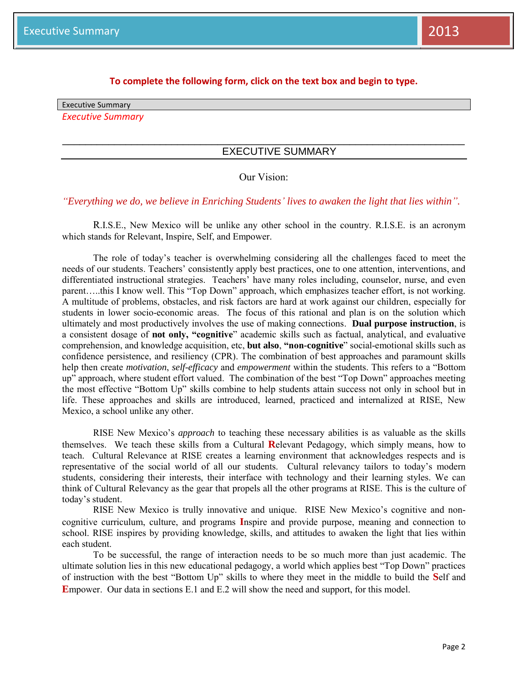#### **To complete the following form, click on the text box and begin to type.**

Executive Summary

*Executive Summary* 

#### EXECUTIVE SUMMARY

#### Our Vision:

\_\_\_\_\_\_\_\_\_\_\_\_\_\_\_\_\_\_\_\_\_\_\_\_\_\_\_\_\_\_\_\_\_\_\_\_\_\_\_\_\_\_\_\_\_\_\_\_\_\_\_\_\_\_\_\_\_\_\_\_\_\_\_\_\_\_\_\_\_\_

*"Everything we do, we believe in Enriching Students' lives to awaken the light that lies within".* 

R.I.S.E., New Mexico will be unlike any other school in the country. R.I.S.E. is an acronym which stands for Relevant, Inspire, Self, and Empower.

The role of today's teacher is overwhelming considering all the challenges faced to meet the needs of our students. Teachers' consistently apply best practices, one to one attention, interventions, and differentiated instructional strategies. Teachers' have many roles including, counselor, nurse, and even parent…..this I know well. This "Top Down" approach, which emphasizes teacher effort, is not working. A multitude of problems, obstacles, and risk factors are hard at work against our children, especially for students in lower socio-economic areas. The focus of this rational and plan is on the solution which ultimately and most productively involves the use of making connections. **Dual purpose instruction**, is a consistent dosage of **not only, "cognitive**" academic skills such as factual, analytical, and evaluative comprehension, and knowledge acquisition, etc, **but also**, **"non-cognitive**" social-emotional skills such as confidence persistence, and resiliency (CPR). The combination of best approaches and paramount skills help then create *motivation*, *self-efficacy* and *empowerment* within the students. This refers to a "Bottom up" approach, where student effort valued. The combination of the best "Top Down" approaches meeting the most effective "Bottom Up" skills combine to help students attain success not only in school but in life. These approaches and skills are introduced, learned, practiced and internalized at RISE, New Mexico, a school unlike any other.

RISE New Mexico's *approach* to teaching these necessary abilities is as valuable as the skills themselves. We teach these skills from a Cultural **R**elevant Pedagogy, which simply means, how to teach. Cultural Relevance at RISE creates a learning environment that acknowledges respects and is representative of the social world of all our students. Cultural relevancy tailors to today's modern students, considering their interests, their interface with technology and their learning styles. We can think of Cultural Relevancy as the gear that propels all the other programs at RISE. This is the culture of today's student.

RISE New Mexico is trully innovative and unique. RISE New Mexico's cognitive and noncognitive curriculum, culture, and programs **I**nspire and provide purpose, meaning and connection to school. RISE inspires by providing knowledge, skills, and attitudes to awaken the light that lies within each student.

To be successful, the range of interaction needs to be so much more than just academic. The ultimate solution lies in this new educational pedagogy, a world which applies best "Top Down" practices of instruction with the best "Bottom Up" skills to where they meet in the middle to build the **S**elf and **E**mpower. Our data in sections E.1 and E.2 will show the need and support, for this model.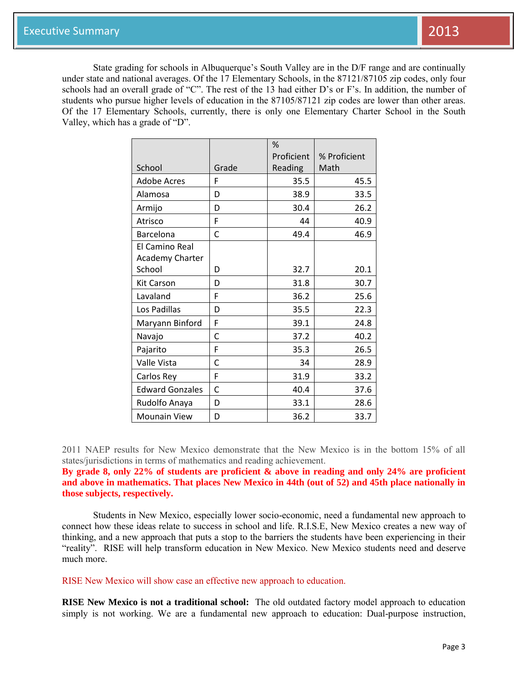State grading for schools in Albuquerque's South Valley are in the D/F range and are continually under state and national averages. Of the 17 Elementary Schools, in the 87121/87105 zip codes, only four schools had an overall grade of "C". The rest of the 13 had either D's or F's. In addition, the number of students who pursue higher levels of education in the 87105/87121 zip codes are lower than other areas. Of the 17 Elementary Schools, currently, there is only one Elementary Charter School in the South Valley, which has a grade of "D".

|                        |       | %          |              |
|------------------------|-------|------------|--------------|
|                        |       | Proficient | % Proficient |
| School                 | Grade | Reading    | Math         |
| <b>Adobe Acres</b>     | F     | 35.5       | 45.5         |
| Alamosa                | D     | 38.9       | 33.5         |
| Armijo                 | D     | 30.4       | 26.2         |
| Atrisco                | F     | 44         | 40.9         |
| Barcelona              | C     | 49.4       | 46.9         |
| El Camino Real         |       |            |              |
| Academy Charter        |       |            |              |
| School                 | D     | 32.7       | 20.1         |
| <b>Kit Carson</b>      | D     | 31.8       | 30.7         |
| Lavaland               | F     | 36.2       | 25.6         |
| Los Padillas           | D     | 35.5       | 22.3         |
| Maryann Binford        | F     | 39.1       | 24.8         |
| Navajo                 | C     | 37.2       | 40.2         |
| Pajarito               | F     | 35.3       | 26.5         |
| Valle Vista            | C     | 34         | 28.9         |
| Carlos Rey             | F     | 31.9       | 33.2         |
| <b>Edward Gonzales</b> | C     | 40.4       | 37.6         |
| Rudolfo Anaya          | D     | 33.1       | 28.6         |
| <b>Mounain View</b>    | D     | 36.2       | 33.7         |

2011 NAEP results for New Mexico demonstrate that the New Mexico is in the bottom 15% of all states/jurisdictions in terms of mathematics and reading achievement.

**By grade 8, only 22% of students are proficient & above in reading and only 24% are proficient and above in mathematics. That places New Mexico in 44th (out of 52) and 45th place nationally in those subjects, respectively.** 

Students in New Mexico, especially lower socio-economic, need a fundamental new approach to connect how these ideas relate to success in school and life. R.I.S.E, New Mexico creates a new way of thinking, and a new approach that puts a stop to the barriers the students have been experiencing in their "reality". RISE will help transform education in New Mexico. New Mexico students need and deserve much more.

RISE New Mexico will show case an effective new approach to education.

**RISE New Mexico is not a traditional school:** The old outdated factory model approach to education simply is not working. We are a fundamental new approach to education: Dual-purpose instruction,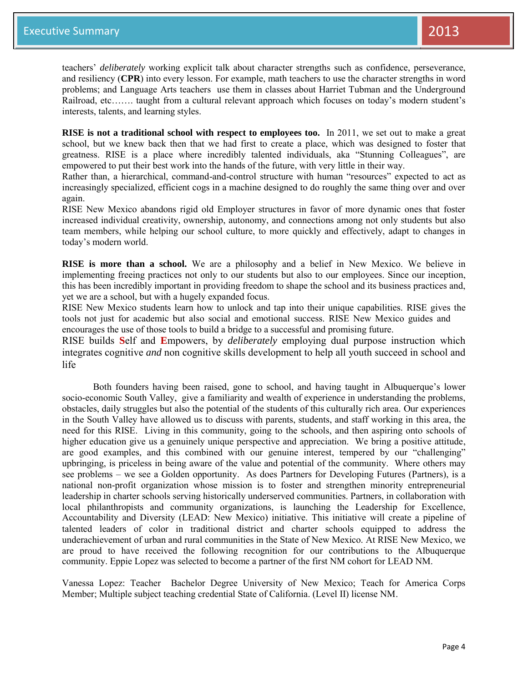teachers' *deliberately* working explicit talk about character strengths such as confidence, perseverance, and resiliency (**CPR**) into every lesson. For example, math teachers to use the character strengths in word problems; and Language Arts teachers use them in classes about Harriet Tubman and the Underground Railroad, etc……. taught from a cultural relevant approach which focuses on today's modern student's interests, talents, and learning styles.

**RISE is not a traditional school with respect to employees too.** In 2011, we set out to make a great school, but we knew back then that we had first to create a place, which was designed to foster that greatness. RISE is a place where incredibly talented individuals, aka "Stunning Colleagues", are empowered to put their best work into the hands of the future, with very little in their way.

Rather than, a hierarchical, command-and-control structure with human "resources" expected to act as increasingly specialized, efficient cogs in a machine designed to do roughly the same thing over and over again.

RISE New Mexico abandons rigid old Employer structures in favor of more dynamic ones that foster increased individual creativity, ownership, autonomy, and connections among not only students but also team members, while helping our school culture, to more quickly and effectively, adapt to changes in today's modern world.

**RISE is more than a school.** We are a philosophy and a belief in New Mexico. We believe in implementing freeing practices not only to our students but also to our employees. Since our inception, this has been incredibly important in providing freedom to shape the school and its business practices and, yet we are a school, but with a hugely expanded focus.

RISE New Mexico students learn how to unlock and tap into their unique capabilities. RISE gives the tools not just for academic but also social and emotional success. RISE New Mexico guides and encourages the use of those tools to build a bridge to a successful and promising future.

RISE builds **S**elf and **E**mpowers, by *deliberately* employing dual purpose instruction which integrates cognitive *and* non cognitive skills development to help all youth succeed in school and life

Both founders having been raised, gone to school, and having taught in Albuquerque's lower socio-economic South Valley, give a familiarity and wealth of experience in understanding the problems, obstacles, daily struggles but also the potential of the students of this culturally rich area. Our experiences in the South Valley have allowed us to discuss with parents, students, and staff working in this area, the need for this RISE. Living in this community, going to the schools, and then aspiring onto schools of higher education give us a genuinely unique perspective and appreciation. We bring a positive attitude, are good examples, and this combined with our genuine interest, tempered by our "challenging" upbringing, is priceless in being aware of the value and potential of the community. Where others may see problems – we see a Golden opportunity. As does Partners for Developing Futures (Partners), is a national non-profit organization whose mission is to foster and strengthen minority entrepreneurial leadership in charter schools serving historically underserved communities. Partners, in collaboration with local philanthropists and community organizations, is launching the Leadership for Excellence, Accountability and Diversity (LEAD: New Mexico) initiative. This initiative will create a pipeline of talented leaders of color in traditional district and charter schools equipped to address the underachievement of urban and rural communities in the State of New Mexico. At RISE New Mexico, we are proud to have received the following recognition for our contributions to the Albuquerque community. Eppie Lopez was selected to become a partner of the first NM cohort for LEAD NM.

Vanessa Lopez: Teacher Bachelor Degree University of New Mexico; Teach for America Corps Member; Multiple subject teaching credential State of California. (Level II) license NM.